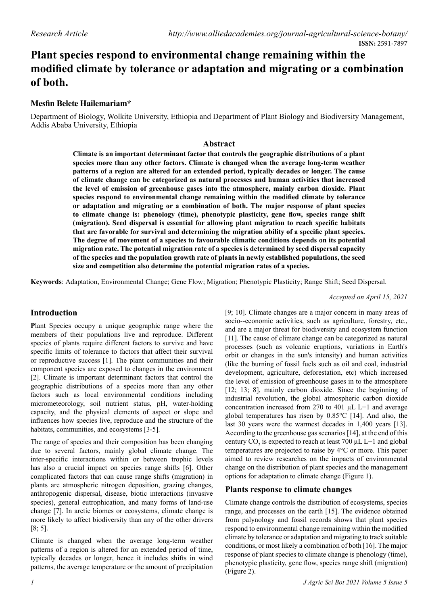## **Plant species respond to environmental change remaining within the modified climate by tolerance or adaptation and migrating or a combination of both.**

## **Mesfin Belete Hailemariam\***

Department of Biology, Wolkite University, Ethiopia and Department of Plant Biology and Biodiversity Management, Addis Ababa University, Ethiopia

## **Abstract**

**Climate is an important determinant factor that controls the geographic distributions of a plant species more than any other factors. Climate is changed when the average long-term weather patterns of a region are altered for an extended period, typically decades or longer. The cause of climate change can be categorized as natural processes and human activities that increased the level of emission of greenhouse gases into the atmosphere, mainly carbon dioxide. Plant species respond to environmental change remaining within the modified climate by tolerance or adaptation and migrating or a combination of both. The major response of plant species to climate change is: phenology (time), phenotypic plasticity, gene flow, species range shift (migration). Seed dispersal is essential for allowing plant migration to reach specific habitats that are favorable for survival and determining the migration ability of a specific plant species. The degree of movement of a species to favourable climatic conditions depends on its potential migration rate. The potential migration rate of a species is determined by seed dispersal capacity of the species and the population growth rate of plants in newly established populations, the seed size and competition also determine the potential migration rates of a species.**

**Keywords**: Adaptation, Environmental Change; Gene Flow; Migration; Phenotypic Plasticity; Range Shift; Seed Dispersal.

# *Accepted on April 15, 2021*

[9; 10]. Climate changes are a major concern in many areas of socio--economic activities, such as agriculture, forestry, etc., and are a major threat for biodiversity and ecosystem function [11]. The cause of climate change can be categorized as natural processes (such as volcanic eruptions, variations in Earth's orbit or changes in the sun's intensity) and human activities (like the burning of fossil fuels such as oil and coal, industrial development, agriculture, deforestation, etc) which increased the level of emission of greenhouse gases in to the atmosphere [12; 13; 8], mainly carbon dioxide. Since the beginning of industrial revolution, the global atmospheric carbon dioxide concentration increased from 270 to 401 µL L−1 and average global temperatures has risen by 0.85°C [14]. And also, the last 30 years were the warmest decades in 1,400 years [13]. According to the greenhouse gas scenarios [14], at the end of this century  $CO_2$  is expected to reach at least 700 µL L−1 and global temperatures are projected to raise by 4°C or more. This paper aimed to review researches on the impacts of environmental change on the distribution of plant species and the management

## **Introduction**

**P**lant Species occupy a unique geographic range where the members of their populations live and reproduce. Different species of plants require different factors to survive and have specific limits of tolerance to factors that affect their survival or reproductive success [1]. The plant communities and their component species are exposed to changes in the environment [2]. Climate is important determinant factors that control the geographic distributions of a species more than any other factors such as local environmental conditions including micrometeorology, soil nutrient status, pH, water-holding capacity, and the physical elements of aspect or slope and influences how species live, reproduce and the structure of the habitats, communities, and ecosystems [3-5].

The range of species and their composition has been changing due to several factors, mainly global climate change. The inter-specific interactions within or between trophic levels has also a crucial impact on species range shifts [6]. Other complicated factors that can cause range shifts (migration) in plants are atmospheric nitrogen deposition, grazing changes, anthropogenic dispersal, disease, biotic interactions (invasive species), general eutrophication, and many forms of land-use change [7]. In arctic biomes or ecosystems, climate change is more likely to affect biodiversity than any of the other drivers [8; 5].

Climate is changed when the average long-term weather patterns of a region is altered for an extended period of time, typically decades or longer, hence it includes shifts in wind patterns, the average temperature or the amount of precipitation

climate by tolerance or adaptation and migrating to track suitable conditions, or most likely a combination of both [16]. The major response of plant species to climate change is phenology (time), phenotypic plasticity, gene flow, species range shift (migration)

Climate change controls the distribution of ecosystems, species range, and processes on the earth [15]. The evidence obtained from palynology and fossil records shows that plant species respond to environmental change remaining within the modified

options for adaptation to climate change (Figure 1).

**Plants response to climate changes**

(Figure 2).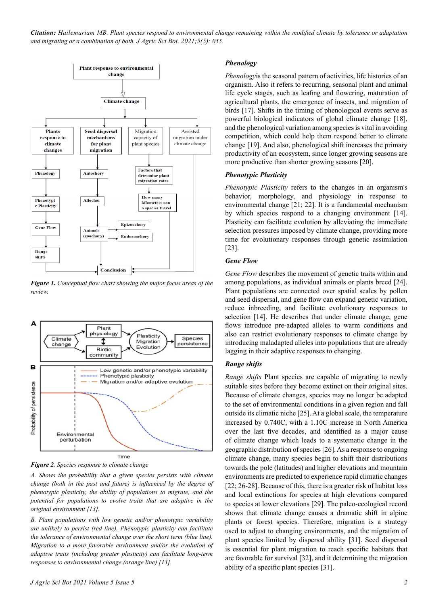*Citation: Hailemariam MB. Plant species respond to environmental change remaining within the modified climate by tolerance or adaptation and migrating or a combination of both. J Agric Sci Bot. 2021;5(5): 055.*



*Figure 1. Conceptual flow chart showing the major focus areas of the review.*



*Figure 2. Species response to climate change*

*A. Shows the probability that a given species persists with climate change (both in the past and future) is influenced by the degree of phenotypic plasticity, the ability of populations to migrate, and the potential for populations to evolve traits that are adaptive in the original environment [13].* 

*B. Plant populations with low genetic and/or phenotypic variability are unlikely to persist (red line). Phenotypic plasticity can facilitate the tolerance of environmental change over the short term (blue line). Migration to a more favorable environment and/or the evolution of adaptive traits (including greater plasticity) can facilitate long-term responses to environmental change (orange line) [13].*

#### *Phenology*

*Phenology*is the seasonal pattern of activities, life histories of an organism. Also it refers to recurring, seasonal plant and animal life cycle stages, such as leafing and flowering, maturation of agricultural plants, the emergence of insects, and migration of birds [17]. Shifts in the timing of phenological events serve as powerful biological indicators of global climate change [18], and the phenological variation among species is vital in avoiding competition, which could help them respond better to climate change [19]. And also, phenological shift increases the primary productivity of an ecosystem, since longer growing seasons are more productive than shorter growing seasons [20].

#### *Phenotypic Plasticity*

*Phenotypic Plasticity* refers to the changes in an organism's behavior, morphology, and physiology in response to environmental change [21; 22]. It is a fundamental mechanism by which species respond to a changing environment [14]. Plasticity can facilitate evolution by alleviating the immediate selection pressures imposed by climate change, providing more time for evolutionary responses through genetic assimilation [23].

#### *Gene Flow*

*Gene Flow* describes the movement of genetic traits within and among populations, as individual animals or plants breed [24]. Plant populations are connected over spatial scales by pollen and seed dispersal, and gene flow can expand genetic variation, reduce inbreeding, and facilitate evolutionary responses to selection [14]. He describes that under climate change; gene flows introduce pre-adapted alleles to warm conditions and also can restrict evolutionary responses to climate change by introducing maladapted alleles into populations that are already lagging in their adaptive responses to changing.

#### *Range shifts*

*Range shifts* Plant species are capable of migrating to newly suitable sites before they become extinct on their original sites. Because of climate changes, species may no longer be adapted to the set of environmental conditions in a given region and fall outside its climatic niche [25]. At a global scale, the temperature increased by 0.740C, with a 1.10C increase in North America over the last five decades, and identified as a major cause of climate change which leads to a systematic change in the geographic distribution of species [26]. As a response to ongoing climate change, many species begin to shift their distributions towards the pole (latitudes) and higher elevations and mountain environments are predicted to experience rapid climatic changes [22; 26-28]. Because of this, there is a greater risk of habitat loss and local extinctions for species at high elevations compared to species at lower elevations [29]. The paleo-ecological record shows that climate change causes a dramatic shift in alpine plants or forest species. Therefore, migration is a strategy used to adjust to changing environments, and the migration of plant species limited by dispersal ability [31]. Seed dispersal is essential for plant migration to reach specific habitats that are favorable for survival [32], and it determining the migration ability of a specific plant species [31].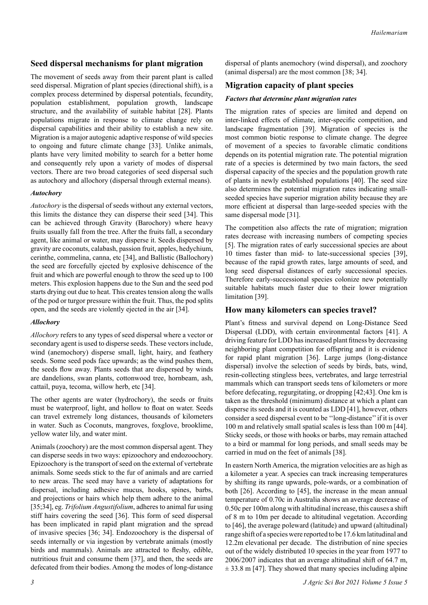## **Seed dispersal mechanisms for plant migration**

The movement of seeds away from their parent plant is called seed dispersal. Migration of plant species (directional shift), is a complex process determined by dispersal potentials, fecundity, population establishment, population growth, landscape structure, and the availability of suitable habitat [28]. Plants populations migrate in response to climate change rely on dispersal capabilities and their ability to establish a new site. Migration is a major autogenic adaptive response of wild species to ongoing and future climate change [33]. Unlike animals, plants have very limited mobility to search for a better home and consequently rely upon a variety of modes of dispersal vectors. There are two broad categories of seed dispersal such as autochory and allochory (dispersal through external means).

#### *Autochory*

*Autochory* is the dispersal of seeds without any external vectors, this limits the distance they can disperse their seed [34]. This can be achieved through Gravity (Barochory) where heavy fruits usually fall from the tree. After the fruits fall, a secondary agent, like animal or water, may disperse it. Seeds dispersed by gravity are coconuts, calabash, passion fruit, apples, hedychium, cerinthe, commelina, canna, etc [34], and Ballistic (Ballochory) the seed are forcefully ejected by explosive dehiscence of the fruit and which are powerful enough to throw the seed up to 100 meters. This explosion happens due to the Sun and the seed pod starts drying out due to heat. This creates tension along the walls of the pod or turgor pressure within the fruit. Thus, the pod splits open, and the seeds are violently ejected in the air [34].

## *Allochory*

*Allochory* refers to any types of seed dispersal where a vector or secondary agent is used to disperse seeds. These vectors include, wind (anemochory) disperse small, light, hairy, and feathery seeds. Some seed pods face upwards; as the wind pushes them, the seeds flow away. Plants seeds that are dispersed by winds are dandelions, swan plants, cottonwood tree, hornbeam, ash, cattail, puya, tecoma, willow herb, etc [34].

The other agents are water (hydrochory), the seeds or fruits must be waterproof, light, and hollow to float on water. Seeds can travel extremely long distances, thousands of kilometers in water. Such as Coconuts, mangroves, foxglove, brooklime, yellow water lily, and water mint.

Animals (zoochory) are the most common dispersal agent. They can disperse seeds in two ways: epizoochory and endozoochory. Epizoochory is the transport of seed on the external of vertebrate animals. Some seeds stick to the fur of animals and are carried to new areas. The seed may have a variety of adaptations for dispersal, including adhesive mucus, hooks, spines, barbs, and projections or hairs which help them adhere to the animal [35;34], eg. *Trifolium Angustifolium*, adheres to animal fur using stiff hairs covering the seed [36]. This form of seed dispersal has been implicated in rapid plant migration and the spread of invasive species [36; 34]. Endozoochory is the dispersal of seeds internally or via ingestion by vertebrate animals (mostly birds and mammals). Animals are attracted to fleshy, edible, nutritious fruit and consume them [37], and then, the seeds are defecated from their bodies. Among the modes of long-distance

dispersal of plants anemochory (wind dispersal), and zoochory (animal dispersal) are the most common [38; 34].

## **Migration capacity of plant species**

#### *Factors that determine plant migration rates*

The migration rates of species are limited and depend on inter-linked effects of climate, inter-specific competition, and landscape fragmentation [39]. Migration of species is the most common biotic response to climate change. The degree of movement of a species to favorable climatic conditions depends on its potential migration rate. The potential migration rate of a species is determined by two main factors, the seed dispersal capacity of the species and the population growth rate of plants in newly established populations [40]. The seed size also determines the potential migration rates indicating smallseeded species have superior migration ability because they are more efficient at dispersal than large-seeded species with the same dispersal mode [31].

The competition also affects the rate of migration; migration rates decrease with increasing numbers of competing species [5]. The migration rates of early successional species are about 10 times faster than mid- to late-successional species [39], because of the rapid growth rates, large amounts of seed, and long seed dispersal distances of early successional species. Therefore early-successional species colonize new potentially suitable habitats much faster due to their lower migration limitation [39].

## **How many kilometers can species travel?**

Plant's fitness and survival depend on Long-Distance Seed Dispersal (LDD), with certain environmental factors [41]. A driving feature for LDD has increased plant fitness by decreasing neighboring plant competition for offspring and it is evidence for rapid plant migration [36]. Large jumps (long-distance dispersal) involve the selection of seeds by birds, bats, wind, resin-collecting stingless bees, vertebrates, and large terrestrial mammals which can transport seeds tens of kilometers or more before defecating, regurgitating, or dropping [42;43]. One km is taken as the threshold (minimum) distance at which a plant can disperse its seeds and it is counted as LDD [41], however, others consider a seed dispersal event to be ''long-distance'' if it is over 100 m and relatively small spatial scales is less than 100 m [44]. Sticky seeds, or those with hooks or barbs, may remain attached to a bird or mammal for long periods, and small seeds may be carried in mud on the feet of animals [38].

In eastern North America, the migration velocities are as high as a kilometer a year. A species can track increasing temperatures by shifting its range upwards, pole-wards, or a combination of both [26]. According to [45], the increase in the mean annual temperature of 0.70c in Australia shows an average decrease of 0.50c per 100m along with altitudinal increase, this causes a shift of 8 m to 10m per decade to altitudinal vegetation. According to [46], the average poleward (latitude) and upward (altitudinal) range shift of a species were reported to be 17.6 km latitudinal and 12.2m elevational per decade. The distribution of nine species out of the widely distributed 10 species in the year from 1977 to 2006/2007 indicates that an average altitudinal shift of 64.7 m,  $\pm$  33.8 m [47]. They showed that many species including alpine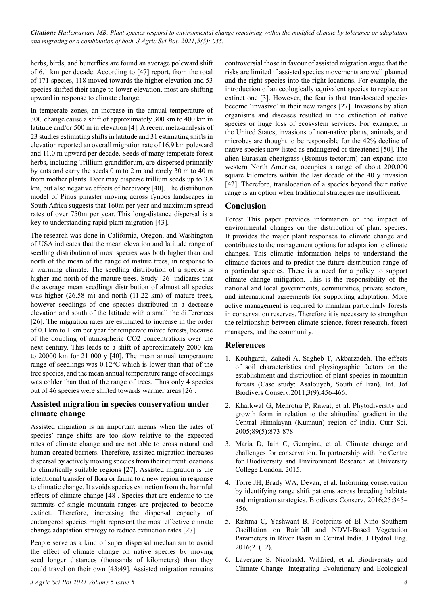*Citation: Hailemariam MB. Plant species respond to environmental change remaining within the modified climate by tolerance or adaptation and migrating or a combination of both. J Agric Sci Bot. 2021;5(5): 055.*

herbs, birds, and butterflies are found an average poleward shift of 6.1 km per decade. According to [47] report, from the total of 171 species, 118 moved towards the higher elevation and 53 species shifted their range to lower elevation, most are shifting upward in response to climate change.

In temperate zones, an increase in the annual temperature of 30C change cause a shift of approximately 300 km to 400 km in latitude and/or 500 m in elevation [4]. A recent meta-analysis of 23 studies estimating shifts in latitude and 31 estimating shifts in elevation reported an overall migration rate of 16.9 km poleward and 11.0 m upward per decade. Seeds of many temperate forest herbs, including Trillium grandiflorum, are dispersed primarily by ants and carry the seeds 0 m to 2 m and rarely 30 m to 40 m from mother plants. Deer may disperse trillium seeds up to 3.8 km, but also negative effects of herbivory [40]. The distribution model of Pinus pinaster moving across fynbos landscapes in South Africa suggests that 160m per year and maximum spread rates of over 750m per year. This long-distance dispersal is a key to understanding rapid plant migration [43].

The research was done in California, Oregon, and Washington of USA indicates that the mean elevation and latitude range of seedling distribution of most species was both higher than and north of the mean of the range of mature trees, in response to a warming climate. The seedling distribution of a species is higher and north of the mature trees. Study [26] indicates that the average mean seedlings distribution of almost all species was higher (26.58 m) and north (11.22 km) of mature trees, however seedlings of one species distributed in a decrease elevation and south of the latitude with a small the differences [26]. The migration rates are estimated to increase in the order of 0.1 km to 1 km per year for temperate mixed forests, because of the doubling of atmospheric CO2 concentrations over the next century. This leads to a shift of approximately 2000 km to 20000 km for 21 000 y [40]. The mean annual temperature range of seedlings was 0.12°C which is lower than that of the tree species, and the mean annual temperature range of seedlings was colder than that of the range of trees. Thus only 4 species out of 46 species were shifted towards warmer areas [26].

## **Assisted migration in species conservation under climate change**

Assisted migration is an important means when the rates of species' range shifts are too slow relative to the expected rates of climate change and are not able to cross natural and human-created barriers. Therefore, assisted migration increases dispersal by actively moving species from their current locations to climatically suitable regions [27]. Assisted migration is the intentional transfer of flora or fauna to a new region in response to climatic change. It avoids species extinction from the harmful effects of climate change [48]. Species that are endemic to the summits of single mountain ranges are projected to become extinct. Therefore, increasing the dispersal capacity of endangered species might represent the most effective climate change adaptation strategy to reduce extinction rates [27].

People serve as a kind of super dispersal mechanism to avoid the effect of climate change on native species by moving seed longer distances (thousands of kilometers) than they could travel on their own [43;49]. Assisted migration remains controversial those in favour of assisted migration argue that the risks are limited if assisted species movements are well planned and the right species into the right locations. For example, the introduction of an ecologically equivalent species to replace an extinct one [3]. However, the fear is that translocated species become 'invasive' in their new ranges [27]. Invasions by alien organisms and diseases resulted in the extinction of native species or huge loss of ecosystem services. For example, in the United States, invasions of non-native plants, animals, and microbes are thought to be responsible for the 42% decline of native species now listed as endangered or threatened [50]. The alien Eurasian cheatgrass (Bromus tectorum) can expand into western North America, occupies a range of about 200,000 square kilometers within the last decade of the 40 y invasion [42]. Therefore, translocation of a species beyond their native range is an option when traditional strategies are insufficient.

## **Conclusion**

Forest This paper provides information on the impact of environmental changes on the distribution of plant species. It provides the major plant responses to climate change and contributes to the management options for adaptation to climate changes. This climatic information helps to understand the climatic factors and to predict the future distribution range of a particular species. There is a need for a policy to support climate change mitigation. This is the responsibility of the national and local governments, communities, private sectors, and international agreements for supporting adaptation. More active management is required to maintain particularly forests in conservation reserves. Therefore it is necessary to strengthen the relationship between climate science, forest research, forest managers, and the community.

## **References**

- 1. Kouhgardi, Zahedi A, Sagheb T, Akbarzadeh. The effects of soil characteristics and physiographic factors on the establishment and distribution of plant species in mountain forests (Case study: Asalouyeh, South of Iran). Int. Jof Biodivers Conserv.2011;3(9):456-466.
- 2. Kharkwal G, Mehrotra P, Rawat, et al. Phytodiversity and growth form in relation to the altitudinal gradient in the Central Himalayan (Kumaun) region of India. Curr Sci. 2005;89(5):873-878.
- 3. Maria D, Iain C, Georgina, et al. Climate change and challenges for conservation. In partnership with the Centre for Biodiversity and Environment Research at University College London. 2015.
- 4. Torre JH, Brady WA, Devan, et al. Informing conservation by identifying range shift patterns across breeding habitats and migration strategies. Biodivers Conserv. 2016;25:345– 356.
- 5. Rishma C, Yashwant B. Footprints of El Niño Southern Oscillation on Rainfall and NDVI-Based Vegetation Parameters in River Basin in Central India. J Hydrol Eng. 2016;21(12).
- 6. Lavergne S, NicolasM, Wilfried, et al. Biodiversity and Climate Change: Integrating Evolutionary and Ecological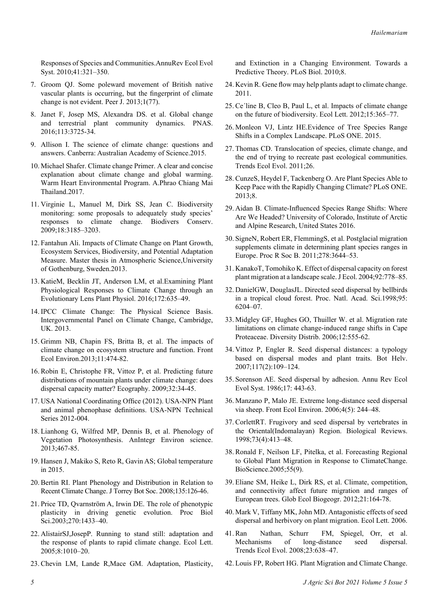Responses of Species and Communities.AnnuRev Ecol Evol Syst. 2010;41:321–350.

- 7. Groom QJ. Some poleward movement of British native vascular plants is occurring, but the fingerprint of climate change is not evident. Peer J. 2013;1(77).
- 8. Janet F, Josep MS, Alexandra DS. et al. Global change and terrestrial plant community dynamics. PNAS. 2016;113:3725-34.
- 9. Allison I. The science of climate change: questions and answers. Canberra: Australian Academy of Science.2015.
- 10. Michael Shafer. Climate change Primer. A clear and concise explanation about climate change and global warming. Warm Heart Environmental Program. A.Phrao Chiang Mai Thailand.2017.
- 11. Virginie L, Manuel M, Dirk SS, Jean C. Biodiversity monitoring: some proposals to adequately study species' responses to climate change. Biodivers Conserv. 2009;18:3185–3203.
- 12. Fantahun Ali. Impacts of Climate Change on Plant Growth, Ecosystem Services, Biodiversity, and Potential Adaptation Measure. Master thesis in Atmospheric Science,University of Gothenburg, Sweden.2013.
- 13. KatieM, Becklin JT, Anderson LM, et al.Examining Plant Physiological Responses to Climate Change through an Evolutionary Lens Plant Physiol. 2016;172:635–49.
- 14. IPCC Climate Change: The Physical Science Basis. Intergovernmental Panel on Climate Change, Cambridge, UK. 2013.
- 15. Grimm NB, Chapin FS, Britta B, et al. The impacts of climate change on ecosystem structure and function. Front Ecol Environ.2013;11:474-82.
- 16. Robin E, Christophe FR, Vittoz P, et al. Predicting future distributions of mountain plants under climate change: does dispersal capacity matter? Ecography. 2009;32:34-45.
- 17. USA National Coordinating Office (2012). USA-NPN Plant and animal phenophase definitions. USA-NPN Technical Series 2012-004.
- 18. Lianhong G, Wilfred MP, Dennis B, et al. Phenology of Vegetation Photosynthesis. AnIntegr Environ science. 2013;467-85.
- 19. Hansen J, Makiko S, Reto R, Gavin AS; Global temperature in 2015.
- 20. Bertin RI. Plant Phenology and Distribution in Relation to Recent Climate Change. J Torrey Bot Soc. 2008;135:126-46.
- 21. Price TD, Qvarnström A, Irwin DE. The role of phenotypic plasticity in driving genetic evolution. Proc Biol Sci.2003;270:1433–40.
- 22. AlistairSJ,JosepP. Running to stand still: adaptation and the response of plants to rapid climate change. Ecol Lett. 2005;8:1010–20.
- 23. Chevin LM, Lande R,Mace GM. Adaptation, Plasticity,

and Extinction in a Changing Environment. Towards a Predictive Theory. PLoS Biol. 2010;8.

- 24. Kevin R. Gene flow may help plants adapt to climate change. 2011.
- 25. Ce´line B, Cleo B, Paul L, et al. Impacts of climate change on the future of biodiversity. Ecol Lett. 2012;15:365–77.
- 26. Monleon VJ, Lintz HE.Evidence of Tree Species Range Shifts in a Complex Landscape. PLoS ONE. 2015.
- 27. Thomas CD. Translocation of species, climate change, and the end of trying to recreate past ecological communities. Trends Ecol Evol. 2011;26.
- 28. CunzeS, Heydel F, Tackenberg O. Are Plant Species Able to Keep Pace with the Rapidly Changing Climate? PLoS ONE. 2013;8.
- 29. Aidan B. Climate-Influenced Species Range Shifts: Where Are We Headed? University of Colorado, Institute of Arctic and Alpine Research, United States 2016.
- 30. SigneN, Robert ER, FlemmingS, et al. Postglacial migration supplements climate in determining plant species ranges in Europe. Proc R Soc B. 2011;278:3644–53.
- 31. KanakoT, Tomohiko K. Effect of dispersal capacity on forest plant migration at a landscape scale. J Ecol. 2004;92:778–85.
- 32. DanielGW, DouglasJL. Directed seed dispersal by bellbirds in a tropical cloud forest. Proc. Natl. Acad. Sci.1998;95: 6204–07.
- 33. Midgley GF, Hughes GO, Thuiller W. et al. Migration rate limitations on climate change-induced range shifts in Cape Proteaceae. Diversity Distrib. 2006;12:555-62.
- 34. Vittoz P, Engler R. Seed dispersal distances: a typology based on dispersal modes and plant traits. Bot Helv. 2007;117(2):109–124.
- 35. Sorenson AE. Seed dispersal by adhesion. Annu Rev Ecol Evol Syst. 1986;17: 443-63.
- 36. Manzano P, Malo JE. Extreme long-distance seed dispersal via sheep. Front Ecol Environ. 2006;4(5): 244–48.
- 37. CorlettRT. Frugivory and seed dispersal by vertebrates in the Oriental(Indomalayan) Region. Biological Reviews. 1998;73(4):413–48.
- 38. Ronald F, Neilson LF, Pitelka, et al. Forecasting Regional to Global Plant Migration in Response to ClimateChange. BioScience.2005;55(9).
- 39. Eliane SM, Heike L, Dirk RS, et al. Climate, competition, and connectivity affect future migration and ranges of European trees. Glob Ecol Biogeogr. 2012;21:164-78.
- 40. Mark V, Tiffany MK, John MD. Antagonistic effects of seed dispersal and herbivory on plant migration. Ecol Lett. 2006.
- 41. Ran Nathan, Schurr FM, Spiegel, Orr, et al. Mechanisms of long-distance seed dispersal. Trends Ecol Evol. 2008;23:638–47.
- 42. Louis FP, Robert HG. Plant Migration and Climate Change.